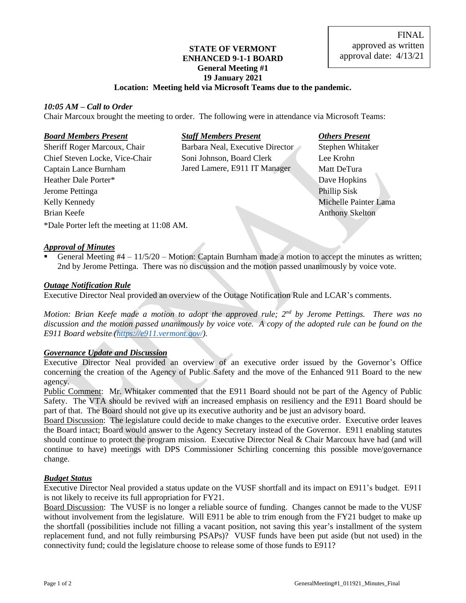## **STATE OF VERMONT ENHANCED 9-1-1 BOARD General Meeting #1 19 January 2021**

### **Location: Meeting held via Microsoft Teams due to the pandemic.**

#### *10:05 AM – Call to Order*

Chair Marcoux brought the meeting to order. The following were in attendance via Microsoft Teams:

#### *Board Members Present Staff Members Present Others Present*

Sheriff Roger Marcoux, Chair Barbara Neal, Executive Director Stephen Whitaker Heather Dale Porter\* Dave Hopkins Jerome Pettinga Phillip Sisk Kelly Kennedy **Michelle Painter Lama** Brian Keefe Anthony Skelton

Chief Steven Locke, Vice-Chair Soni Johnson, Board Clerk Lee Krohn Captain Lance Burnham Jared Lamere, E911 IT Manager Matt DeTura

\*Dale Porter left the meeting at 11:08 AM.

### *Approval of Minutes*

General Meeting  $#4 - 11/5/20$  – Motion: Captain Burnham made a motion to accept the minutes as written; 2nd by Jerome Pettinga. There was no discussion and the motion passed unanimously by voice vote.

#### *Outage Notification Rule*

Executive Director Neal provided an overview of the Outage Notification Rule and LCAR's comments.

Motion: Brian Keefe made a motion to adopt the approved rule; 2<sup>nd</sup> by Jerome Pettings. There was no *discussion and the motion passed unanimously by voice vote. A copy of the adopted rule can be found on the E911 Board website [\(https://e911.vermont.gov/\)](https://e911.vermont.gov/).*

### *Governance Update and Discussion*

Executive Director Neal provided an overview of an executive order issued by the Governor's Office concerning the creation of the Agency of Public Safety and the move of the Enhanced 911 Board to the new agency.

Public Comment: Mr. Whitaker commented that the E911 Board should not be part of the Agency of Public Safety. The VTA should be revived with an increased emphasis on resiliency and the E911 Board should be part of that. The Board should not give up its executive authority and be just an advisory board.

Board Discussion: The legislature could decide to make changes to the executive order. Executive order leaves the Board intact; Board would answer to the Agency Secretary instead of the Governor. E911 enabling statutes should continue to protect the program mission. Executive Director Neal & Chair Marcoux have had (and will continue to have) meetings with DPS Commissioner Schirling concerning this possible move/governance change.

#### *Budget Status*

Executive Director Neal provided a status update on the VUSF shortfall and its impact on E911's budget. E911 is not likely to receive its full appropriation for FY21.

Board Discussion: The VUSF is no longer a reliable source of funding. Changes cannot be made to the VUSF without involvement from the legislature. Will E911 be able to trim enough from the FY21 budget to make up the shortfall (possibilities include not filling a vacant position, not saving this year's installment of the system replacement fund, and not fully reimbursing PSAPs)? VUSF funds have been put aside (but not used) in the connectivity fund; could the legislature choose to release some of those funds to E911?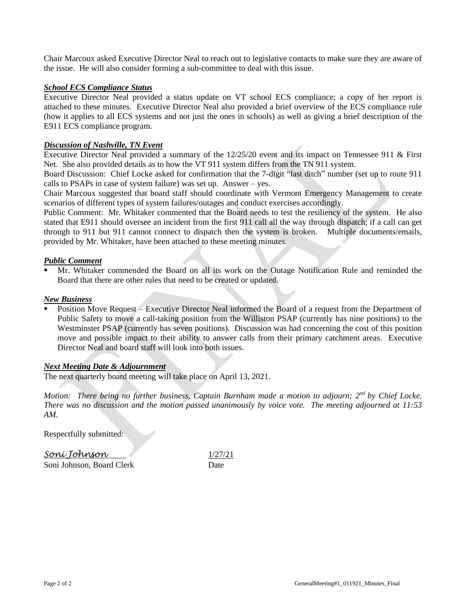Chair Marcoux asked Executive Director Neal to reach out to legislative contacts to make sure they are aware of the issue. He will also consider forming a sub-committee to deal with this issue.

### *School ECS Compliance Status*

Executive Director Neal provided a status update on VT school ECS compliance; a copy of her report is attached to these minutes. Executive Director Neal also provided a brief overview of the ECS compliance rule (how it applies to all ECS systems and not just the ones in schools) as well as giving a brief description of the E911 ECS compliance program.

### *Discussion of Nashville, TN Event*

Executive Director Neal provided a summary of the 12/25/20 event and its impact on Tennessee 911 & First Net. She also provided details as to how the VT 911 system differs from the TN 911 system.

Board Discussion: Chief Locke asked for confirmation that the 7-digit "last ditch" number (set up to route 911 calls to PSAPs in case of system failure) was set up. Answer – yes.

Chair Marcoux suggested that board staff should coordinate with Vermont Emergency Management to create scenarios of different types of system failures/outages and conduct exercises accordingly.

Public Comment: Mr. Whitaker commented that the Board needs to test the resiliency of the system. He also stated that E911 should oversee an incident from the first 911 call all the way through dispatch; if a call can get through to 911 but 911 cannot connect to dispatch then the system is broken. Multiple documents/emails, provided by Mr. Whitaker, have been attached to these meeting minutes.

### *Public Comment*

Mr. Whitaker commended the Board on all its work on the Outage Notification Rule and reminded the Board that there are other rules that need to be created or updated.

### *New Business*

Position Move Request – Executive Director Neal informed the Board of a request from the Department of Public Safety to move a call-taking position from the Williston PSAP (currently has nine positions) to the Westminster PSAP (currently has seven positions). Discussion was had concerning the cost of this position move and possible impact to their ability to answer calls from their primary catchment areas. Executive Director Neal and board staff will look into both issues.

### *Next Meeting Date & Adjournment*

The next quarterly board meeting will take place on April 13, 2021.

*Motion: There being no further business, Captain Burnham made a motion to adjourn; 2nd by Chief Locke. There was no discussion and the motion passed unanimously by voice vote. The meeting adjourned at 11:53 AM.*

Respectfully submitted:

*Soni Johnson* 1/27/21 Soni Johnson, Board Clerk Date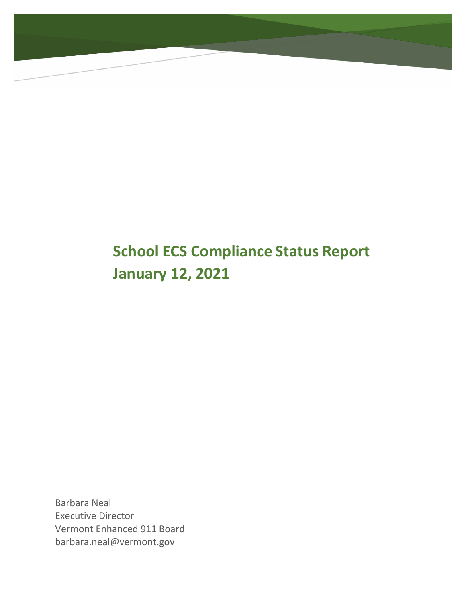# **School ECS Compliance Status Report January 12, 2021**

Barbara Neal Executive Director Vermont Enhanced 911 Boar[d](mailto:barbara.neal@vermont.gov) [barbara.neal@vermont.gov](mailto:barbara.neal@vermont.gov)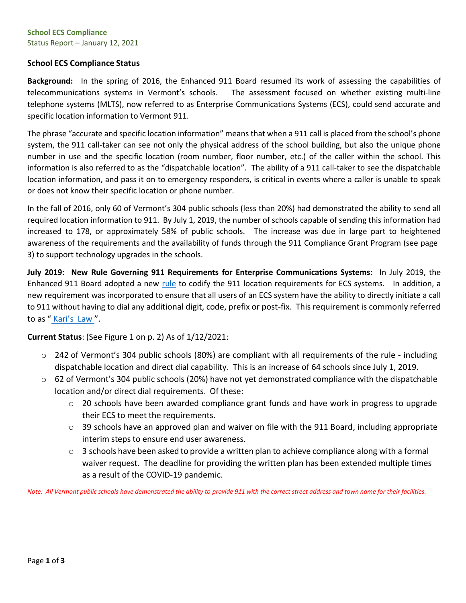#### **School ECS Compliance** Status Report – January 12, 2021

### **School ECS Compliance Status**

**Background:** In the spring of 2016, the Enhanced 911 Board resumed its work of assessing the capabilities of telecommunications systems in Vermont's schools. The assessment focused on whether existing multi-line telephone systems (MLTS), now referred to as Enterprise Communications Systems (ECS), could send accurate and specific location information to Vermont 911.

The phrase "accurate and specific location information" means that when a 911 call is placed from the school's phone system, the 911 call-taker can see not only the physical address of the school building, but also the unique phone number in use and the specific location (room number, floor number, etc.) of the caller within the school. This information is also referred to as the "dispatchable location". The ability of a 911 call-taker to see the dispatchable location information, and pass it on to emergency responders, is critical in events where a caller is unable to speak or does not know their specific location or phone number.

In the fall of 2016, only 60 of Vermont's 304 public schools (less than 20%) had demonstrated the ability to send all required location information to 911. By July 1, 2019, the number of schools capable of sending this information had increased to 178, or approximately 58% of public schools. The increase was due in large part to heightened awareness of the requirements and the availability of funds through the 911 Compliance Grant Program (see page 3) to support technology upgrades in the schools.

**July 2019: New Rule Governing 911 Requirements for Enterprise Communications Systems:** In July 2019, the Enhanced 911 Board adopted a new [rule](https://e911.vermont.gov/sites/nineoneone/files/documents/E911-ECSRule_FINAL_May2019.pdf) to codify the 911 location requirements for ECS systems. In addition, a new requirement was incorporated to ensure that all users of an ECS system have the ability to directly initiate a call to 911 without having to dial any additional digit, code, prefix or post-fix. This requirement is commonly referred to as " [Kari's](https://efficientgov.com/blog/2019/08/15/fcc-approves-direct-dial-to-911/) Law ".

**Current Status**: (See Figure 1 on p. 2) As of 1/12/2021:

- $\circ$  242 of Vermont's 304 public schools (80%) are compliant with all requirements of the rule including dispatchable location and direct dial capability. This is an increase of 64 schools since July 1, 2019.
- $\circ$  62 of Vermont's 304 public schools (20%) have not yet demonstrated compliance with the dispatchable location and/or direct dial requirements. Of these:
	- $\circ$  20 schools have been awarded compliance grant funds and have work in progress to upgrade their ECS to meet the requirements.
	- o 39 schools have an approved plan and waiver on file with the 911 Board, including appropriate interim steps to ensure end user awareness.
	- $\circ$  3 schools have been asked to provide a written plan to achieve compliance along with a formal waiver request. The deadline for providing the written plan has been extended multiple times as a result of the COVID-19 pandemic.

Note: All Vermont public schools have demonstrated the ability to provide 911 with the correct street address and town name for their facilities.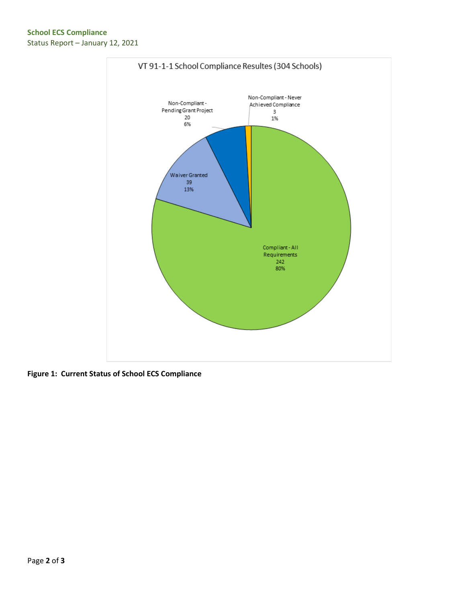

**Figure 1: Current Status of School ECS Compliance**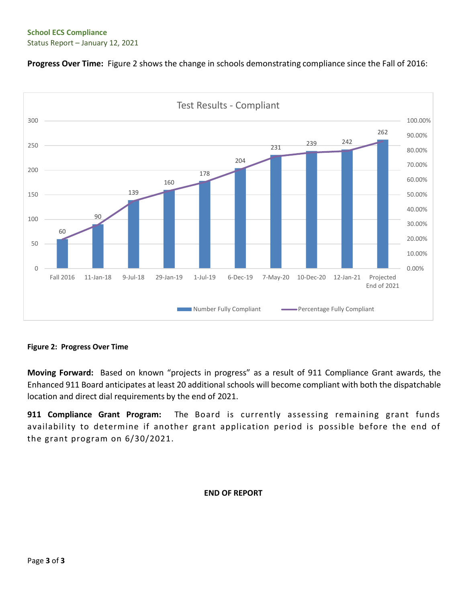### **School ECS Compliance** Status Report – January 12, 2021





### **Figure 2: Progress Over Time**

**Moving Forward:** Based on known "projects in progress" as a result of 911 Compliance Grant awards, the Enhanced 911 Board anticipates at least 20 additional schools will become compliant with both the dispatchable location and direct dial requirements by the end of 2021.

**911 Compliance Grant Program:** The Board is currently assessing remaining grant funds availability to determine if another grant application period is possible before the end of the grant program on 6/30/2021.

### **END OF REPORT**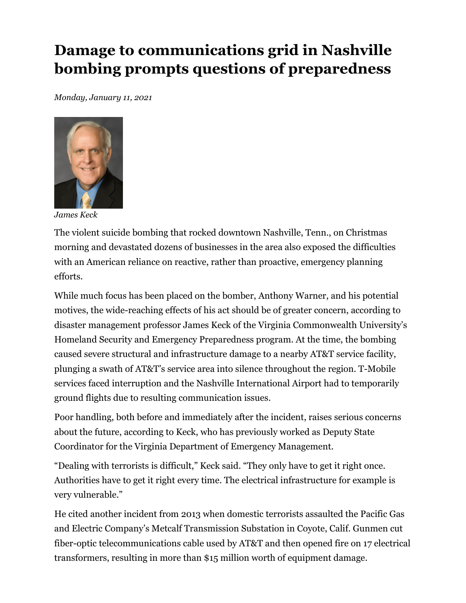# Damage to communications grid in Nashville bombing prompts questions of preparedness

Monday, January 11, 2021



James Keck

The violent suicide bombing that rocked downtown Nashville, Tenn., on Christmas morning and devastated dozens of businesses in the area also exposed the difficulties with an American reliance on reactive, rather than proactive, emergency planning efforts.

While much focus has been placed on the bomber, Anthony Warner, and his potential motives, the wide-reaching effects of his act should be of greater concern, according to disaster management professor James Keck of the Virginia Commonwealth University's Homeland Security and Emergency Preparedness program. At the time, the bombing caused severe structural and infrastructure damage to a nearby AT&T service facility, plunging a swath of AT&T's service area into silence throughout the region. T-Mobile services faced interruption and the Nashville International Airport had to temporarily ground flights due to resulting communication issues.

Poor handling, both before and immediately after the incident, raises serious concerns about the future, according to Keck, who has previously worked as Deputy State Coordinator for the Virginia Department of Emergency Management.

"Dealing with terrorists is difficult," Keck said. "They only have to get it right once. Authorities have to get it right every time. The electrical infrastructure for example is very vulnerable."

He cited another incident from 2013 when domestic terrorists assaulted the Pacific Gas and Electric Company's Metcalf Transmission Substation in Coyote, Calif. Gunmen cut fiber-optic telecommunications cable used by AT&T and then opened fire on 17 electrical transformers, resulting in more than \$15 million worth of equipment damage.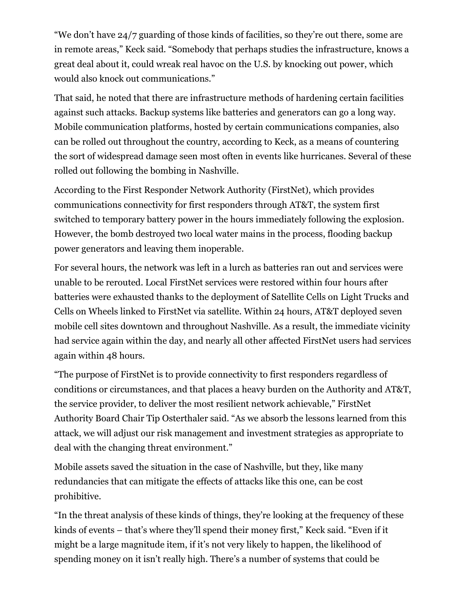"We don't have 24/7 guarding of those kinds of facilities, so they're out there, some are in remote areas," Keck said. "Somebody that perhaps studies the infrastructure, knows a great deal about it, could wreak real havoc on the U.S. by knocking out power, which would also knock out communications."

That said, he noted that there are infrastructure methods of hardening certain facilities against such attacks. Backup systems like batteries and generators can go a long way. Mobile communication platforms, hosted by certain communications companies, also can be rolled out throughout the country, according to Keck, as a means of countering the sort of widespread damage seen most often in events like hurricanes. Several of these rolled out following the bombing in Nashville.

According to the First Responder Network Authority (FirstNet), which provides communications connectivity for first responders through AT&T, the system first switched to temporary battery power in the hours immediately following the explosion. However, the bomb destroyed two local water mains in the process, flooding backup power generators and leaving them inoperable.

For several hours, the network was left in a lurch as batteries ran out and services were unable to be rerouted. Local FirstNet services were restored within four hours after batteries were exhausted thanks to the deployment of Satellite Cells on Light Trucks and Cells on Wheels linked to FirstNet via satellite. Within 24 hours, AT&T deployed seven mobile cell sites downtown and throughout Nashville. As a result, the immediate vicinity had service again within the day, and nearly all other affected FirstNet users had services again within 48 hours.

"The purpose of FirstNet is to provide connectivity to first responders regardless of conditions or circumstances, and that places a heavy burden on the Authority and AT&T, the service provider, to deliver the most resilient network achievable," FirstNet Authority Board Chair Tip Osterthaler said. "As we absorb the lessons learned from this attack, we will adjust our risk management and investment strategies as appropriate to deal with the changing threat environment."

Mobile assets saved the situation in the case of Nashville, but they, like many redundancies that can mitigate the effects of attacks like this one, can be cost prohibitive.

"In the threat analysis of these kinds of things, they're looking at the frequency of these kinds of events – that's where they'll spend their money first," Keck said. "Even if it might be a large magnitude item, if it's not very likely to happen, the likelihood of spending money on it isn't really high. There's a number of systems that could be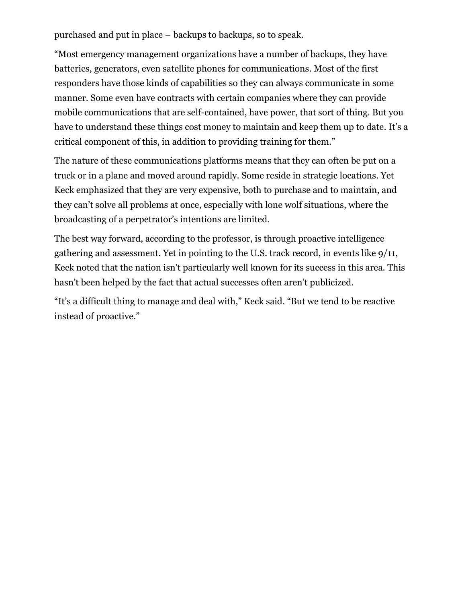purchased and put in place – backups to backups, so to speak.

"Most emergency management organizations have a number of backups, they have batteries, generators, even satellite phones for communications. Most of the first responders have those kinds of capabilities so they can always communicate in some manner. Some even have contracts with certain companies where they can provide mobile communications that are self-contained, have power, that sort of thing. But you have to understand these things cost money to maintain and keep them up to date. It's a critical component of this, in addition to providing training for them."

The nature of these communications platforms means that they can often be put on a truck or in a plane and moved around rapidly. Some reside in strategic locations. Yet Keck emphasized that they are very expensive, both to purchase and to maintain, and they can't solve all problems at once, especially with lone wolf situations, where the broadcasting of a perpetrator's intentions are limited.

The best way forward, according to the professor, is through proactive intelligence gathering and assessment. Yet in pointing to the U.S. track record, in events like 9/11, Keck noted that the nation isn't particularly well known for its success in this area. This hasn't been helped by the fact that actual successes often aren't publicized.

"It's a difficult thing to manage and deal with," Keck said. "But we tend to be reactive instead of proactive."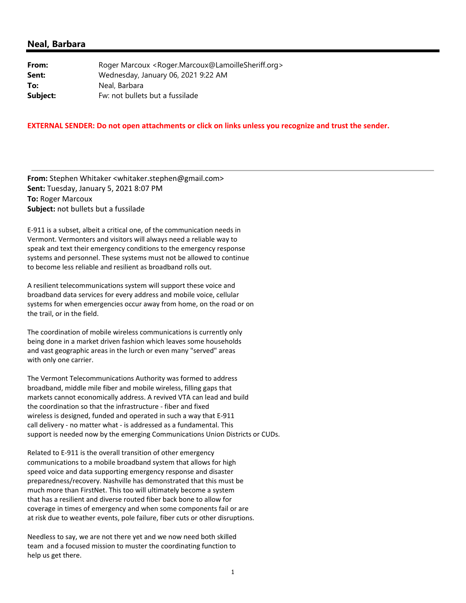#### **Neal, Barbara**

| From:    | Roger Marcoux <roger.marcoux@lamoillesheriff.org></roger.marcoux@lamoillesheriff.org> |
|----------|---------------------------------------------------------------------------------------|
| Sent:    | Wednesday, January 06, 2021 9:22 AM                                                   |
| To:      | Neal, Barbara                                                                         |
| Subject: | Fw: not bullets but a fussilade                                                       |

#### **EXTERNAL SENDER: Do not open attachments or click on links unless you recognize and trust the sender.**

**From:** Stephen Whitaker <whitaker.stephen@gmail.com> **Sent:** Tuesday, January 5, 2021 8:07 PM **To:** Roger Marcoux **Subject:** not bullets but a fussilade

E‐911 is a subset, albeit a critical one, of the communication needs in Vermont. Vermonters and visitors will always need a reliable way to speak and text their emergency conditions to the emergency response systems and personnel. These systems must not be allowed to continue to become less reliable and resilient as broadband rolls out.

A resilient telecommunications system will support these voice and broadband data services for every address and mobile voice, cellular systems for when emergencies occur away from home, on the road or on the trail, or in the field.

The coordination of mobile wireless communications is currently only being done in a market driven fashion which leaves some households and vast geographic areas in the lurch or even many "served" areas with only one carrier.

The Vermont Telecommunications Authority was formed to address broadband, middle mile fiber and mobile wireless, filling gaps that markets cannot economically address. A revived VTA can lead and build the coordination so that the infrastructure ‐ fiber and fixed wireless is designed, funded and operated in such a way that E‐911 call delivery ‐ no matter what ‐ is addressed as a fundamental. This support is needed now by the emerging Communications Union Districts or CUDs.

Related to E‐911 is the overall transition of other emergency communications to a mobile broadband system that allows for high speed voice and data supporting emergency response and disaster preparedness/recovery. Nashville has demonstrated that this must be much more than FirstNet. This too will ultimately become a system that has a resilient and diverse routed fiber back bone to allow for coverage in times of emergency and when some components fail or are at risk due to weather events, pole failure, fiber cuts or other disruptions.

Needless to say, we are not there yet and we now need both skilled team and a focused mission to muster the coordinating function to help us get there.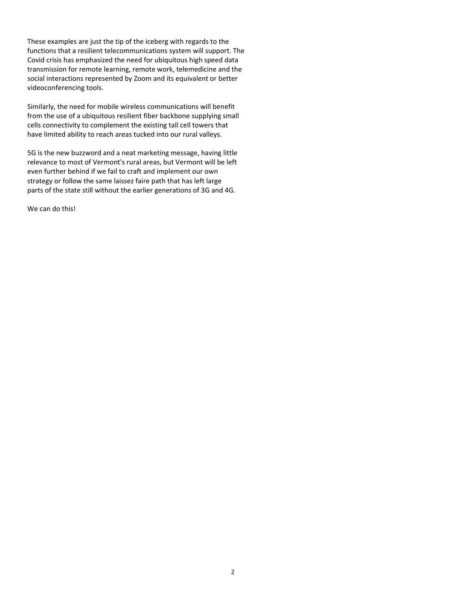These examples are just the tip of the iceberg with regards to the functions that a resilient telecommunications system will support. The Covid crisis has emphasized the need for ubiquitous high speed data transmission for remote learning, remote work, telemedicine and the social interactions represented by Zoom and its equivalent or better videoconferencing tools.

Similarly, the need for mobile wireless communications will benefit from the use of a ubiquitous resilient fiber backbone supplying small cells connectivity to complement the existing tall cell towers that have limited ability to reach areas tucked into our rural valleys.

5G is the new buzzword and a neat marketing message, having little relevance to most of Vermont's rural areas, but Vermont will be left even further behind if we fail to craft and implement our own strategy or follow the same laissez faire path that has left large parts of the state still without the earlier generations of 3G and 4G.

We can do this!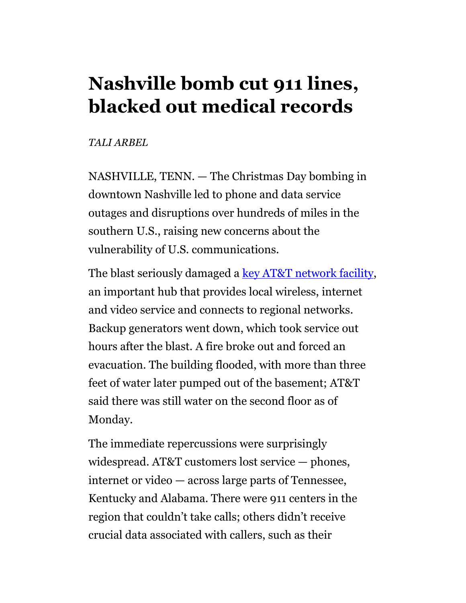# Nashville bomb cut 911 lines, blacked out medical records

## TALI ARBEL

NASHVILLE, TENN. — The Christmas Day bombing in downtown Nashville led to phone and data service outages and disruptions over hundreds of miles in the southern U.S., raising new concerns about the vulnerability of U.S. communications.

The blast seriously damaged a key AT&T network facility, an important hub that provides local wireless, internet and video service and connects to regional networks. Backup generators went down, which took service out hours after the blast. A fire broke out and forced an evacuation. The building flooded, with more than three feet of water later pumped out of the basement; AT&T said there was still water on the second floor as of Monday.

The immediate repercussions were surprisingly widespread. AT&T customers lost service — phones, internet or video — across large parts of Tennessee, Kentucky and Alabama. There were 911 centers in the region that couldn't take calls; others didn't receive crucial data associated with callers, such as their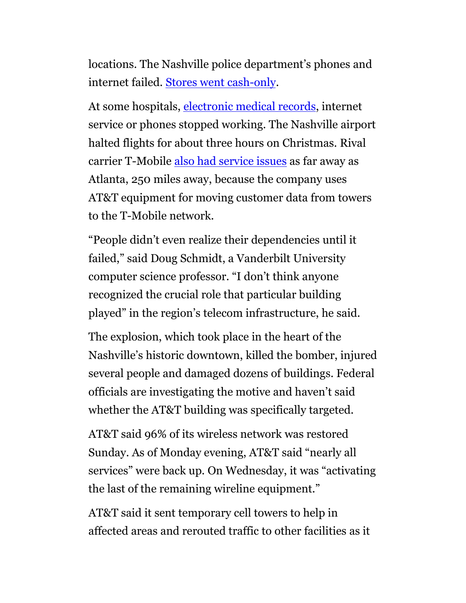locations. The Nashville police department's phones and internet failed. Stores went cash-only.

At some hospitals, electronic medical records, internet service or phones stopped working. The Nashville airport halted flights for about three hours on Christmas. Rival carrier T-Mobile also had service issues as far away as Atlanta, 250 miles away, because the company uses AT&T equipment for moving customer data from towers to the T-Mobile network.

"People didn't even realize their dependencies until it failed," said Doug Schmidt, a Vanderbilt University computer science professor. "I don't think anyone recognized the crucial role that particular building played" in the region's telecom infrastructure, he said.

The explosion, which took place in the heart of the Nashville's historic downtown, killed the bomber, injured several people and damaged dozens of buildings. Federal officials are investigating the motive and haven't said whether the AT&T building was specifically targeted.

AT&T said 96% of its wireless network was restored Sunday. As of Monday evening, AT&T said "nearly all services" were back up. On Wednesday, it was "activating the last of the remaining wireline equipment."

AT&T said it sent temporary cell towers to help in affected areas and rerouted traffic to other facilities as it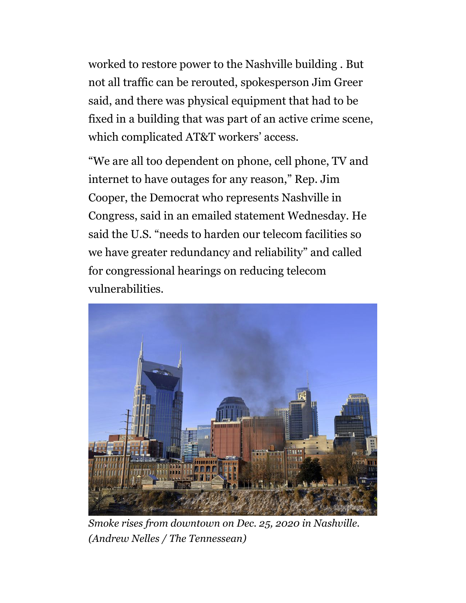worked to restore power to the Nashville building . But not all traffic can be rerouted, spokesperson Jim Greer said, and there was physical equipment that had to be fixed in a building that was part of an active crime scene, which complicated AT&T workers' access.

"We are all too dependent on phone, cell phone, TV and internet to have outages for any reason," Rep. Jim Cooper, the Democrat who represents Nashville in Congress, said in an emailed statement Wednesday. He said the U.S. "needs to harden our telecom facilities so we have greater redundancy and reliability" and called for congressional hearings on reducing telecom vulnerabilities.



Smoke rises from downtown on Dec. 25, 2020 in Nashville. (Andrew Nelles / The Tennessean)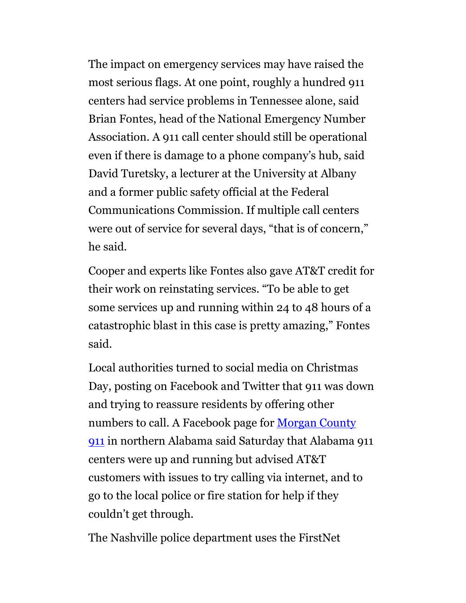The impact on emergency services may have raised the most serious flags. At one point, roughly a hundred 911 centers had service problems in Tennessee alone, said Brian Fontes, head of the National Emergency Number Association. A 911 call center should still be operational even if there is damage to a phone company's hub, said David Turetsky, a lecturer at the University at Albany and a former public safety official at the Federal Communications Commission. If multiple call centers were out of service for several days, "that is of concern," he said.

Cooper and experts like Fontes also gave AT&T credit for their work on reinstating services. "To be able to get some services up and running within 24 to 48 hours of a catastrophic blast in this case is pretty amazing," Fontes said.

Local authorities turned to social media on Christmas Day, posting on Facebook and Twitter that 911 was down and trying to reassure residents by offering other numbers to call. A Facebook page for Morgan County 911 in northern Alabama said Saturday that Alabama 911 centers were up and running but advised AT&T customers with issues to try calling via internet, and to go to the local police or fire station for help if they couldn't get through.

The Nashville police department uses the FirstNet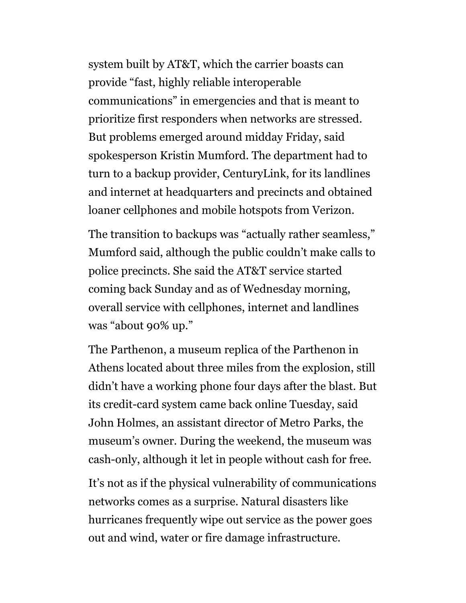system built by AT&T, which the carrier boasts can provide "fast, highly reliable interoperable communications" in emergencies and that is meant to prioritize first responders when networks are stressed. But problems emerged around midday Friday, said spokesperson Kristin Mumford. The department had to turn to a backup provider, CenturyLink, for its landlines and internet at headquarters and precincts and obtained loaner cellphones and mobile hotspots from Verizon.

The transition to backups was "actually rather seamless," Mumford said, although the public couldn't make calls to police precincts. She said the AT&T service started coming back Sunday and as of Wednesday morning, overall service with cellphones, internet and landlines was "about 90% up."

The Parthenon, a museum replica of the Parthenon in Athens located about three miles from the explosion, still didn't have a working phone four days after the blast. But its credit-card system came back online Tuesday, said John Holmes, an assistant director of Metro Parks, the museum's owner. During the weekend, the museum was cash-only, although it let in people without cash for free.

It's not as if the physical vulnerability of communications networks comes as a surprise. Natural disasters like hurricanes frequently wipe out service as the power goes out and wind, water or fire damage infrastructure.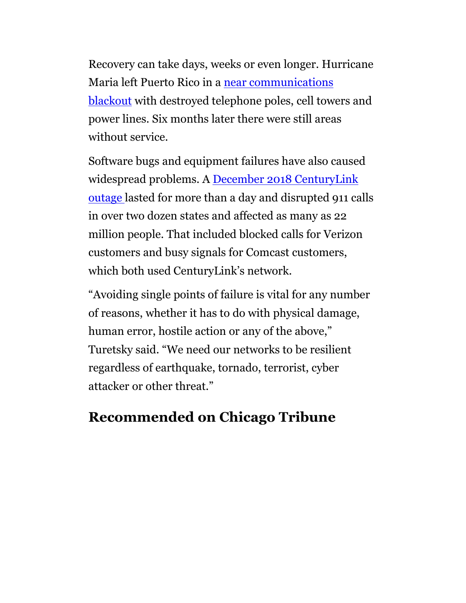Recovery can take days, weeks or even longer. Hurricane Maria left Puerto Rico in a near communications blackout with destroyed telephone poles, cell towers and power lines. Six months later there were still areas without service.

Software bugs and equipment failures have also caused widespread problems. A December 2018 CenturyLink outage lasted for more than a day and disrupted 911 calls in over two dozen states and affected as many as 22 million people. That included blocked calls for Verizon customers and busy signals for Comcast customers, which both used CenturyLink's network.

"Avoiding single points of failure is vital for any number of reasons, whether it has to do with physical damage, human error, hostile action or any of the above," Turetsky said. "We need our networks to be resilient regardless of earthquake, tornado, terrorist, cyber attacker or other threat."

# Recommended on Chicago Tribune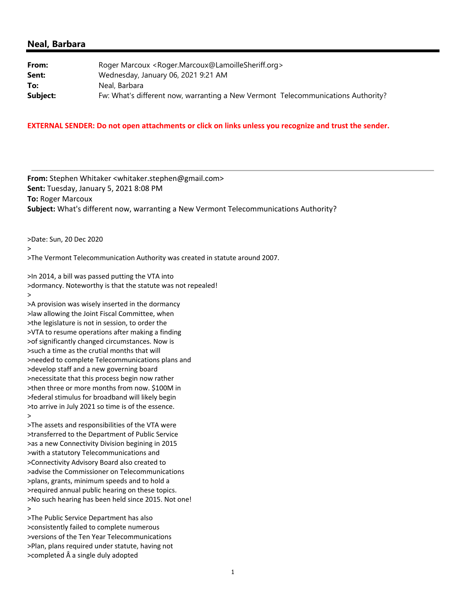#### **Neal, Barbara**

| From:    | Roger Marcoux <roger.marcoux@lamoillesheriff.org></roger.marcoux@lamoillesheriff.org> |
|----------|---------------------------------------------------------------------------------------|
| Sent:    | Wednesday, January 06, 2021 9:21 AM                                                   |
| To:      | Neal, Barbara                                                                         |
| Subject: | Fw: What's different now, warranting a New Vermont Telecommunications Authority?      |

#### **EXTERNAL SENDER: Do not open attachments or click on links unless you recognize and trust the sender.**

**From:** Stephen Whitaker <whitaker.stephen@gmail.com> **Sent:** Tuesday, January 5, 2021 8:08 PM **To:** Roger Marcoux **Subject:** What's different now, warranting a New Vermont Telecommunications Authority?

>Date: Sun, 20 Dec 2020

>

>The Vermont Telecommunication Authority was created in statute around 2007.

>In 2014, a bill was passed putting the VTA into >dormancy. Noteworthy is that the statute was not repealed! >

>A provision was wisely inserted in the dormancy >law allowing the Joint Fiscal Committee, when >the legislature is not in session, to order the >VTA to resume operations after making a finding >of significantly changed circumstances. Now is >such a time as the crutial months that will >needed to complete Telecommunications plans and >develop staff and a new governing board >necessitate that this process begin now rather >then three or more months from now. \$100M in >federal stimulus for broadband will likely begin >to arrive in July 2021 so time is of the essence. >

>The assets and responsibilities of the VTA were >transferred to the Department of Public Service >as a new Connectivity Division begining in 2015 >with a statutory Telecommunications and >Connectivity Advisory Board also created to >advise the Commissioner on Telecommunications >plans, grants, minimum speeds and to hold a >required annual public hearing on these topics. >No such hearing has been held since 2015. Not one! >

>The Public Service Department has also >consistently failed to complete numerous >versions of the Ten Year Telecommunications >Plan, plans required under statute, having not >completed  $\hat{A}$  a single duly adopted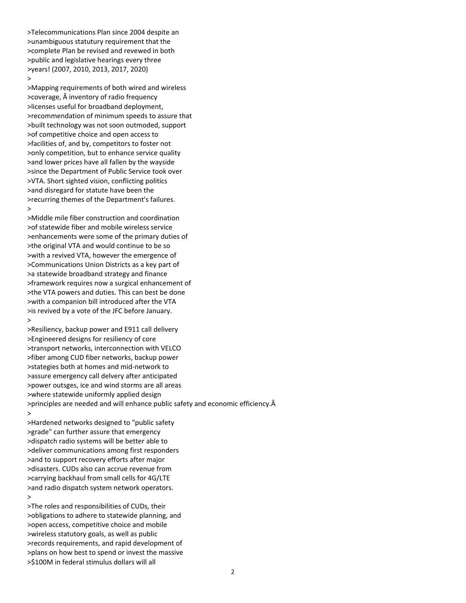>Telecommunications Plan since 2004 despite an >unambiguous statutury requirement that the >complete Plan be revised and revewed in both >public and legislative hearings every three >years! (2007, 2010, 2013, 2017, 2020)

#### >

>Mapping requirements of both wired and wireless >coverage, Â inventory of radio frequency >licenses useful for broadband deployment, >recommendation of minimum speeds to assure that >built technology was not soon outmoded, support >of competitive choice and open access to >facilities of, and by, competitors to foster not >only competition, but to enhance service quality >and lower prices have all fallen by the wayside >since the Department of Public Service took over >VTA. Short sighted vision, conflicting politics >and disregard for statute have been the >recurring themes of the Department's failures. >

>Middle mile fiber construction and coordination >of statewide fiber and mobile wireless service >enhancements were some of the primary duties of >the original VTA and would continue to be so >with a revived VTA, however the emergence of >Communications Union Districts as a key part of >a statewide broadband strategy and finance >framework requires now a surgical enhancement of >the VTA powers and duties. This can best be done >with a companion bill introduced after the VTA >is revived by a vote of the JFC before January. >

>Resiliency, backup power and E911 call delivery >Engineered designs for resiliency of core >transport networks, interconnection with VELCO >fiber among CUD fiber networks, backup power >stategies both at homes and mid‐network to >assure emergency call delvery after anticipated >power outsges, ice and wind storms are all areas >where statewide uniformly applied design >principles are needed and will enhance public safety and economic efficiency. >

>Hardened networks designed to "public safety >grade" can further assure that emergency >dispatch radio systems will be better able to >deliver communications among first responders >and to support recovery efforts after major >disasters. CUDs also can accrue revenue from >carrying backhaul from small cells for 4G/LTE >and radio dispatch system network operators. >

>The roles and responsibilities of CUDs, their >obligations to adhere to statewide planning, and >open access, competitive choice and mobile >wireless statutory goals, as well as public >records requirements, and rapid development of >plans on how best to spend or invest the massive >\$100M in federal stimulus dollars will all